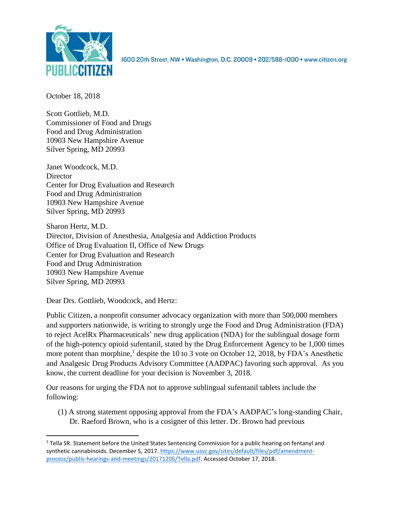

1600 20th Street, NW · Washington, D.C. 20009 · 202/588-1000 · www.citizen.org

October 18, 2018

Scott Gottlieb, M.D. Commissioner of Food and Drugs Food and Drug Administration 10903 New Hampshire Avenue Silver Spring, MD 20993

Janet Woodcock, M.D. **Director** Center for Drug Evaluation and Research Food and Drug Administration 10903 New Hampshire Avenue Silver Spring, MD 20993

Sharon Hertz, M.D. Director, Division of Anesthesia, Analgesia and Addiction Products Office of Drug Evaluation II, Office of New Drugs Center for Drug Evaluation and Research Food and Drug Administration 10903 New Hampshire Avenue Silver Spring, MD 20993

Dear Drs. Gottlieb, Woodcock, and Hertz:

 $\overline{\phantom{a}}$ 

Public Citizen, a nonprofit consumer advocacy organization with more than 500,000 members and supporters nationwide, is writing to strongly urge the Food and Drug Administration (FDA) to reject AcelRx Pharmaceuticals' new drug application (NDA) for the sublingual dosage form of the high-potency opioid sufentanil, stated by the Drug Enforcement Agency to be 1,000 times more potent than morphine,<sup>1</sup> despite the 10 to 3 vote on October 12, 2018, by FDA's Anesthetic and Analgesic Drug Products Advisory Committee (AADPAC) favoring such approval. As you know, the current deadline for your decision is November 3, 2018.

Our reasons for urging the FDA not to approve sublingual sufentanil tablets include the following:

(1) A strong statement opposing approval from the FDA's AADPAC's long-standing Chair, Dr. Raeford Brown, who is a cosigner of this letter. Dr. Brown had previous

 $1$  Tella SR. Statement before the United States Sentencing Commission for a public hearing on fentanyl and synthetic cannabinoids. December 5, 2017. [https://www.ussc.gov/sites/default/files/pdf/amendment](https://www.ussc.gov/sites/default/files/pdf/amendment-process/public-hearings-and-meetings/20171205/Tella.pdf)[process/public-hearings-and-meetings/20171205/Tella.pdf.](https://www.ussc.gov/sites/default/files/pdf/amendment-process/public-hearings-and-meetings/20171205/Tella.pdf) Accessed October 17, 2018.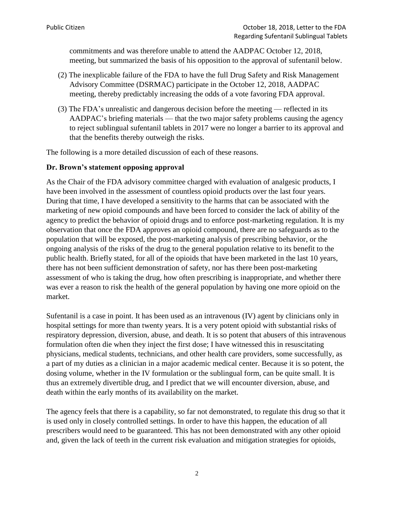commitments and was therefore unable to attend the AADPAC October 12, 2018, meeting, but summarized the basis of his opposition to the approval of sufentanil below.

- (2) The inexplicable failure of the FDA to have the full Drug Safety and Risk Management Advisory Committee (DSRMAC) participate in the October 12, 2018, AADPAC meeting, thereby predictably increasing the odds of a vote favoring FDA approval.
- (3) The FDA's unrealistic and dangerous decision before the meeting reflected in its AADPAC's briefing materials — that the two major safety problems causing the agency to reject sublingual sufentanil tablets in 2017 were no longer a barrier to its approval and that the benefits thereby outweigh the risks.

The following is a more detailed discussion of each of these reasons.

## **Dr. Brown's statement opposing approval**

As the Chair of the FDA advisory committee charged with evaluation of analgesic products, I have been involved in the assessment of countless opioid products over the last four years. During that time, I have developed a sensitivity to the harms that can be associated with the marketing of new opioid compounds and have been forced to consider the lack of ability of the agency to predict the behavior of opioid drugs and to enforce post-marketing regulation. It is my observation that once the FDA approves an opioid compound, there are no safeguards as to the population that will be exposed, the post-marketing analysis of prescribing behavior, or the ongoing analysis of the risks of the drug to the general population relative to its benefit to the public health. Briefly stated, for all of the opioids that have been marketed in the last 10 years, there has not been sufficient demonstration of safety, nor has there been post-marketing assessment of who is taking the drug, how often prescribing is inappropriate, and whether there was ever a reason to risk the health of the general population by having one more opioid on the market.

Sufentanil is a case in point. It has been used as an intravenous (IV) agent by clinicians only in hospital settings for more than twenty years. It is a very potent opioid with substantial risks of respiratory depression, diversion, abuse, and death. It is so potent that abusers of this intravenous formulation often die when they inject the first dose; I have witnessed this in resuscitating physicians, medical students, technicians, and other health care providers, some successfully, as a part of my duties as a clinician in a major academic medical center. Because it is so potent, the dosing volume, whether in the IV formulation or the sublingual form, can be quite small. It is thus an extremely divertible drug, and I predict that we will encounter diversion, abuse, and death within the early months of its availability on the market.

The agency feels that there is a capability, so far not demonstrated, to regulate this drug so that it is used only in closely controlled settings. In order to have this happen, the education of all prescribers would need to be guaranteed. This has not been demonstrated with any other opioid and, given the lack of teeth in the current risk evaluation and mitigation strategies for opioids,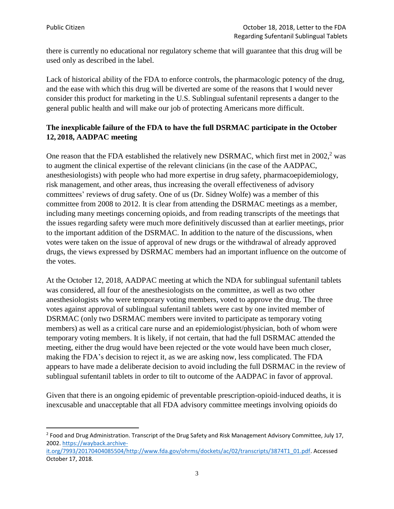$\overline{a}$ 

there is currently no educational nor regulatory scheme that will guarantee that this drug will be used only as described in the label.

Lack of historical ability of the FDA to enforce controls, the pharmacologic potency of the drug, and the ease with which this drug will be diverted are some of the reasons that I would never consider this product for marketing in the U.S. Sublingual sufentanil represents a danger to the general public health and will make our job of protecting Americans more difficult.

## **The inexplicable failure of the FDA to have the full DSRMAC participate in the October 12, 2018, AADPAC meeting**

One reason that the FDA established the relatively new DSRMAC, which first met in  $2002<sup>2</sup>$  was to augment the clinical expertise of the relevant clinicians (in the case of the AADPAC, anesthesiologists) with people who had more expertise in drug safety, pharmacoepidemiology, risk management, and other areas, thus increasing the overall effectiveness of advisory committees' reviews of drug safety. One of us (Dr. Sidney Wolfe) was a member of this committee from 2008 to 2012. It is clear from attending the DSRMAC meetings as a member, including many meetings concerning opioids, and from reading transcripts of the meetings that the issues regarding safety were much more definitively discussed than at earlier meetings, prior to the important addition of the DSRMAC. In addition to the nature of the discussions, when votes were taken on the issue of approval of new drugs or the withdrawal of already approved drugs, the views expressed by DSRMAC members had an important influence on the outcome of the votes.

At the October 12, 2018, AADPAC meeting at which the NDA for sublingual sufentanil tablets was considered, all four of the anesthesiologists on the committee, as well as two other anesthesiologists who were temporary voting members, voted to approve the drug. The three votes against approval of sublingual sufentanil tablets were cast by one invited member of DSRMAC (only two DSRMAC members were invited to participate as temporary voting members) as well as a critical care nurse and an epidemiologist/physician, both of whom were temporary voting members. It is likely, if not certain, that had the full DSRMAC attended the meeting, either the drug would have been rejected or the vote would have been much closer, making the FDA's decision to reject it, as we are asking now, less complicated. The FDA appears to have made a deliberate decision to avoid including the full DSRMAC in the review of sublingual sufentanil tablets in order to tilt to outcome of the AADPAC in favor of approval.

Given that there is an ongoing epidemic of preventable prescription-opioid-induced deaths, it is inexcusable and unacceptable that all FDA advisory committee meetings involving opioids do

[it.org/7993/20170404085504/http://www.fda.gov/ohrms/dockets/ac/02/transcripts/3874T1\\_01.pdf.](https://wayback.archive-it.org/7993/20170404085504/http:/www.fda.gov/ohrms/dockets/ac/02/transcripts/3874T1_01.pdf) Accessed October 17, 2018.

<sup>&</sup>lt;sup>2</sup> Food and Drug Administration. Transcript of the Drug Safety and Risk Management Advisory Committee, July 17, 2002. [https://wayback.archive-](https://wayback.archive-it.org/7993/20170404085504/http:/www.fda.gov/ohrms/dockets/ac/02/transcripts/3874T1_01.pdf)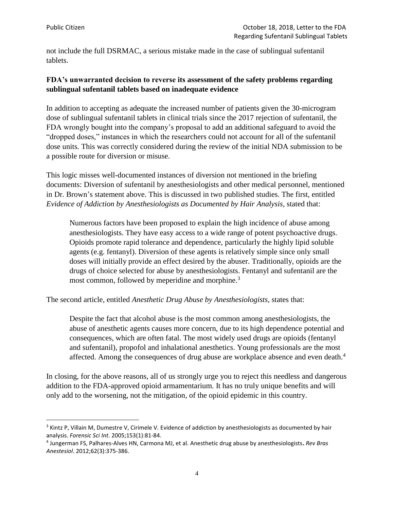l

not include the full DSRMAC, a serious mistake made in the case of sublingual sufentanil tablets.

## **FDA's unwarranted decision to reverse its assessment of the safety problems regarding sublingual sufentanil tablets based on inadequate evidence**

In addition to accepting as adequate the increased number of patients given the 30-microgram dose of sublingual sufentanil tablets in clinical trials since the 2017 rejection of sufentanil, the FDA wrongly bought into the company's proposal to add an additional safeguard to avoid the "dropped doses," instances in which the researchers could not account for all of the sufentanil dose units. This was correctly considered during the review of the initial NDA submission to be a possible route for diversion or misuse.

This logic misses well-documented instances of diversion not mentioned in the briefing documents: Diversion of sufentanil by anesthesiologists and other medical personnel, mentioned in Dr. Brown's statement above. This is discussed in two published studies. The first, entitled *Evidence of Addiction by Anesthesiologists as Documented by Hair Analysis,* stated that:

Numerous factors have been proposed to explain the high incidence of abuse among anesthesiologists. They have easy access to a wide range of potent psychoactive drugs. Opioids promote rapid tolerance and dependence, particularly the highly lipid soluble agents (e.g. fentanyl). Diversion of these agents is relatively simple since only small doses will initially provide an effect desired by the abuser. Traditionally, opioids are the drugs of choice selected for abuse by anesthesiologists. Fentanyl and sufentanil are the most common, followed by meperidine and morphine.<sup>3</sup>

The second article, entitled *Anesthetic Drug Abuse by Anesthesiologists*, states that:

Despite the fact that alcohol abuse is the most common among anesthesiologists, the abuse of anesthetic agents causes more concern, due to its high dependence potential and consequences, which are often fatal. The most widely used drugs are opioids (fentanyl and sufentanil), propofol and inhalational anesthetics. Young professionals are the most affected. Among the consequences of drug abuse are workplace absence and even death.<sup>4</sup>

In closing, for the above reasons, all of us strongly urge you to reject this needless and dangerous addition to the FDA-approved opioid armamentarium. It has no truly unique benefits and will only add to the worsening, not the mitigation, of the opioid epidemic in this country.

<sup>&</sup>lt;sup>3</sup> Kintz P, Villain M, Dumestre V, Cirimele V. Evidence of addiction by anesthesiologists as documented by hair analysis. *Forensic Sci Int*. 2005;153(1):81-84.

<sup>4</sup> Jungerman FS, Palhares-Alves HN, Carmona MJ, et al. Anesthetic drug abuse by anesthesiologists**.** *Rev Bras Anestesiol*. 2012;62(3):375-386.